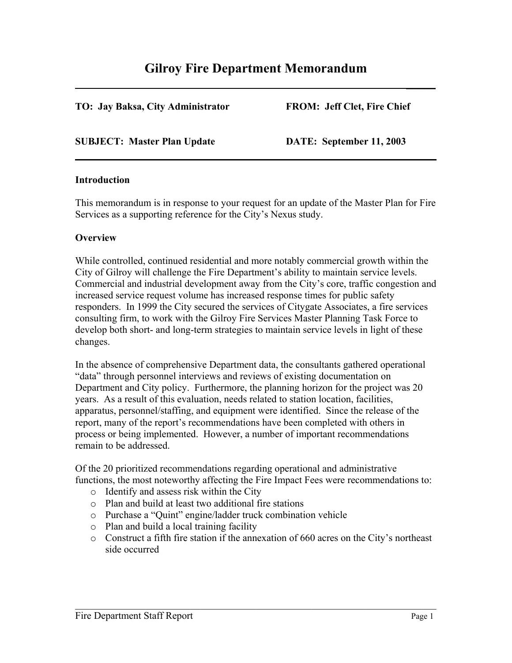# **Gilroy Fire Department Memorandum \_\_\_\_\_**

### **TO: Jay Baksa, City Administrator FROM: Jeff Clet, Fire Chief**

#### **SUBJECT: Master Plan Update DATE: September 11, 2003**

#### **Introduction**

This memorandum is in response to your request for an update of the Master Plan for Fire Services as a supporting reference for the City's Nexus study.

#### **Overview**

While controlled, continued residential and more notably commercial growth within the City of Gilroy will challenge the Fire Department's ability to maintain service levels. Commercial and industrial development away from the City's core, traffic congestion and increased service request volume has increased response times for public safety responders. In 1999 the City secured the services of Citygate Associates, a fire services consulting firm, to work with the Gilroy Fire Services Master Planning Task Force to develop both short- and long-term strategies to maintain service levels in light of these changes.

In the absence of comprehensive Department data, the consultants gathered operational "data" through personnel interviews and reviews of existing documentation on Department and City policy. Furthermore, the planning horizon for the project was 20 years. As a result of this evaluation, needs related to station location, facilities, apparatus, personnel/staffing, and equipment were identified. Since the release of the report, many of the report's recommendations have been completed with others in process or being implemented. However, a number of important recommendations remain to be addressed.

Of the 20 prioritized recommendations regarding operational and administrative functions, the most noteworthy affecting the Fire Impact Fees were recommendations to:

- o Identify and assess risk within the City
- o Plan and build at least two additional fire stations
- o Purchase a "Quint" engine/ladder truck combination vehicle
- o Plan and build a local training facility
- o Construct a fifth fire station if the annexation of 660 acres on the City's northeast side occurred

 $\mathcal{L}_\text{max}$  , and the contribution of the contribution of the contribution of the contribution of the contribution of the contribution of the contribution of the contribution of the contribution of the contribution of t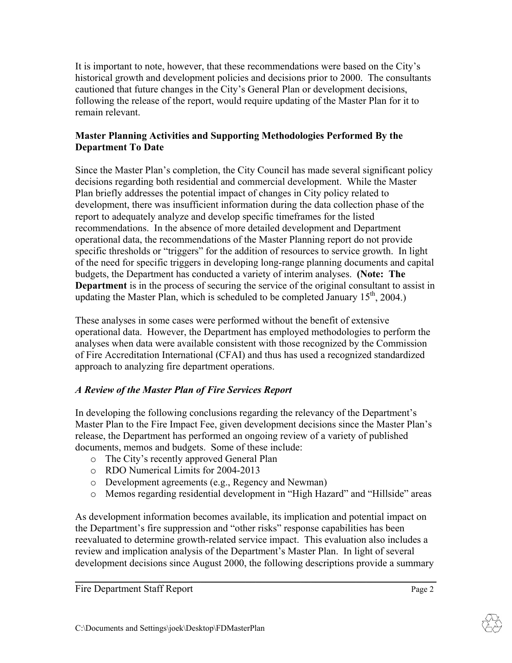It is important to note, however, that these recommendations were based on the City's historical growth and development policies and decisions prior to 2000. The consultants cautioned that future changes in the City's General Plan or development decisions, following the release of the report, would require updating of the Master Plan for it to remain relevant.

## **Master Planning Activities and Supporting Methodologies Performed By the Department To Date**

Since the Master Plan's completion, the City Council has made several significant policy decisions regarding both residential and commercial development. While the Master Plan briefly addresses the potential impact of changes in City policy related to development, there was insufficient information during the data collection phase of the report to adequately analyze and develop specific timeframes for the listed recommendations. In the absence of more detailed development and Department operational data, the recommendations of the Master Planning report do not provide specific thresholds or "triggers" for the addition of resources to service growth. In light of the need for specific triggers in developing long-range planning documents and capital budgets, the Department has conducted a variety of interim analyses. **(Note: The Department** is in the process of securing the service of the original consultant to assist in updating the Master Plan, which is scheduled to be completed January 15<sup>th</sup>, 2004.)

These analyses in some cases were performed without the benefit of extensive operational data. However, the Department has employed methodologies to perform the analyses when data were available consistent with those recognized by the Commission of Fire Accreditation International (CFAI) and thus has used a recognized standardized approach to analyzing fire department operations.

# *A Review of the Master Plan of Fire Services Report*

In developing the following conclusions regarding the relevancy of the Department's Master Plan to the Fire Impact Fee, given development decisions since the Master Plan's release, the Department has performed an ongoing review of a variety of published documents, memos and budgets. Some of these include:

- o The City's recently approved General Plan
- o RDO Numerical Limits for 2004-2013
- o Development agreements (e.g., Regency and Newman)
- o Memos regarding residential development in "High Hazard" and "Hillside" areas

As development information becomes available, its implication and potential impact on the Department's fire suppression and "other risks" response capabilities has been reevaluated to determine growth-related service impact. This evaluation also includes a review and implication analysis of the Department's Master Plan. In light of several development decisions since August 2000, the following descriptions provide a summary

 $\mathcal{L}_\mathcal{L} = \mathcal{L}_\mathcal{L} = \mathcal{L}_\mathcal{L} = \mathcal{L}_\mathcal{L} = \mathcal{L}_\mathcal{L} = \mathcal{L}_\mathcal{L} = \mathcal{L}_\mathcal{L} = \mathcal{L}_\mathcal{L} = \mathcal{L}_\mathcal{L} = \mathcal{L}_\mathcal{L} = \mathcal{L}_\mathcal{L} = \mathcal{L}_\mathcal{L} = \mathcal{L}_\mathcal{L} = \mathcal{L}_\mathcal{L} = \mathcal{L}_\mathcal{L} = \mathcal{L}_\mathcal{L} = \mathcal{L}_\mathcal{L}$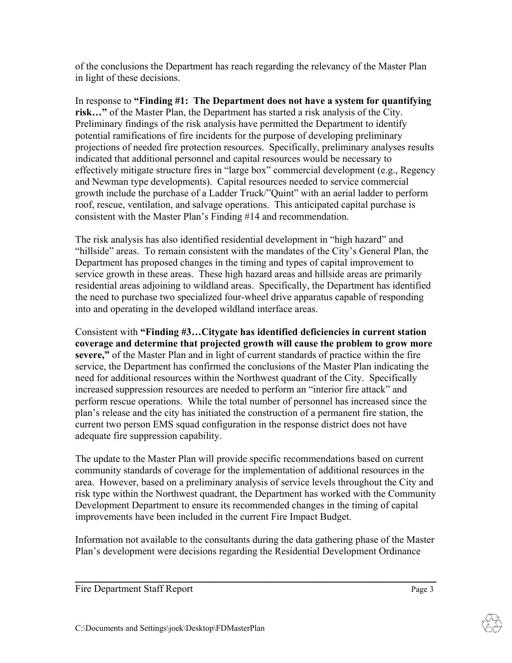of the conclusions the Department has reach regarding the relevancy of the Master Plan in light of these decisions.

In response to **"Finding #1: The Department does not have a system for quantifying risk…"** of the Master Plan, the Department has started a risk analysis of the City. Preliminary findings of the risk analysis have permitted the Department to identify potential ramifications of fire incidents for the purpose of developing preliminary projections of needed fire protection resources. Specifically, preliminary analyses results indicated that additional personnel and capital resources would be necessary to effectively mitigate structure fires in "large box" commercial development (e.g., Regency and Newman type developments). Capital resources needed to service commercial growth include the purchase of a Ladder Truck/"Quint" with an aerial ladder to perform roof, rescue, ventilation, and salvage operations. This anticipated capital purchase is consistent with the Master Plan's Finding #14 and recommendation.

The risk analysis has also identified residential development in "high hazard" and "hillside" areas. To remain consistent with the mandates of the City's General Plan, the Department has proposed changes in the timing and types of capital improvement to service growth in these areas. These high hazard areas and hillside areas are primarily residential areas adjoining to wildland areas. Specifically, the Department has identified the need to purchase two specialized four-wheel drive apparatus capable of responding into and operating in the developed wildland interface areas.

Consistent with **"Finding #3…Citygate has identified deficiencies in current station coverage and determine that projected growth will cause the problem to grow more severe,"** of the Master Plan and in light of current standards of practice within the fire service, the Department has confirmed the conclusions of the Master Plan indicating the need for additional resources within the Northwest quadrant of the City. Specifically increased suppression resources are needed to perform an "interior fire attack" and perform rescue operations. While the total number of personnel has increased since the plan's release and the city has initiated the construction of a permanent fire station, the current two person EMS squad configuration in the response district does not have adequate fire suppression capability.

The update to the Master Plan will provide specific recommendations based on current community standards of coverage for the implementation of additional resources in the area. However, based on a preliminary analysis of service levels throughout the City and risk type within the Northwest quadrant, the Department has worked with the Community Development Department to ensure its recommended changes in the timing of capital improvements have been included in the current Fire Impact Budget.

Information not available to the consultants during the data gathering phase of the Master Plan's development were decisions regarding the Residential Development Ordinance

 $\mathcal{L}_\mathcal{L} = \mathcal{L}_\mathcal{L} = \mathcal{L}_\mathcal{L} = \mathcal{L}_\mathcal{L} = \mathcal{L}_\mathcal{L} = \mathcal{L}_\mathcal{L} = \mathcal{L}_\mathcal{L} = \mathcal{L}_\mathcal{L} = \mathcal{L}_\mathcal{L} = \mathcal{L}_\mathcal{L} = \mathcal{L}_\mathcal{L} = \mathcal{L}_\mathcal{L} = \mathcal{L}_\mathcal{L} = \mathcal{L}_\mathcal{L} = \mathcal{L}_\mathcal{L} = \mathcal{L}_\mathcal{L} = \mathcal{L}_\mathcal{L}$